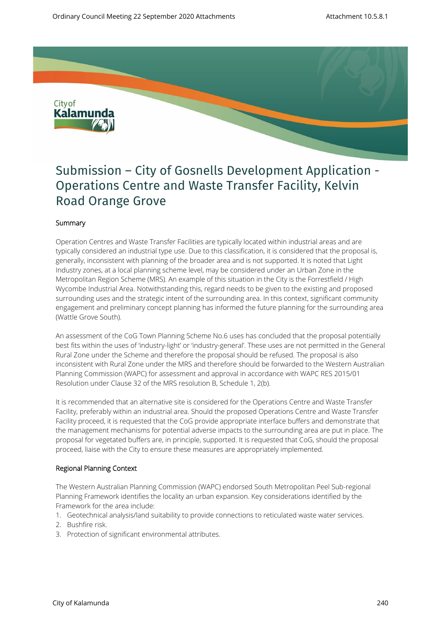

# Submission – City of Gosnells Development Application - Operations Centre and Waste Transfer Facility, Kelvin Road Orange Grove

## **Summary**

Operation Centres and Waste Transfer Facilities are typically located within industrial areas and are typically considered an industrial type use. Due to this classification, it is considered that the proposal is, generally, inconsistent with planning of the broader area and is not supported. It is noted that Light Industry zones, at a local planning scheme level, may be considered under an Urban Zone in the Metropolitan Region Scheme (MRS). An example of this situation in the City is the Forrestfield / High Wycombe Industrial Area. Notwithstanding this, regard needs to be given to the existing and proposed surrounding uses and the strategic intent of the surrounding area. In this context, significant community engagement and preliminary concept planning has informed the future planning for the surrounding area (Wattle Grove South).

An assessment of the CoG Town Planning Scheme No.6 uses has concluded that the proposal potentially best fits within the uses of 'industry-light' or 'industry-general'. These uses are not permitted in the General Rural Zone under the Scheme and therefore the proposal should be refused. The proposal is also inconsistent with Rural Zone under the MRS and therefore should be forwarded to the Western Australian Planning Commission (WAPC) for assessment and approval in accordance with WAPC RES 2015/01 Resolution under Clause 32 of the MRS resolution B, Schedule 1, 2(b).

It is recommended that an alternative site is considered for the Operations Centre and Waste Transfer Facility, preferably within an industrial area. Should the proposed Operations Centre and Waste Transfer Facility proceed, it is requested that the CoG provide appropriate interface buffers and demonstrate that the management mechanisms for potential adverse impacts to the surrounding area are put in place. The proposal for vegetated buffers are, in principle, supported. It is requested that CoG, should the proposal proceed, liaise with the City to ensure these measures are appropriately implemented.

#### **Regional Planning Context**

The Western Australian Planning Commission (WAPC) endorsed South Metropolitan Peel Sub-regional Planning Framework identifies the locality an urban expansion. Key considerations identified by the Framework for the area include:

- 1. Geotechnical analysis/land suitability to provide connections to reticulated waste water services.
- 2. Bushfire risk.
- 3. Protection of significant environmental attributes.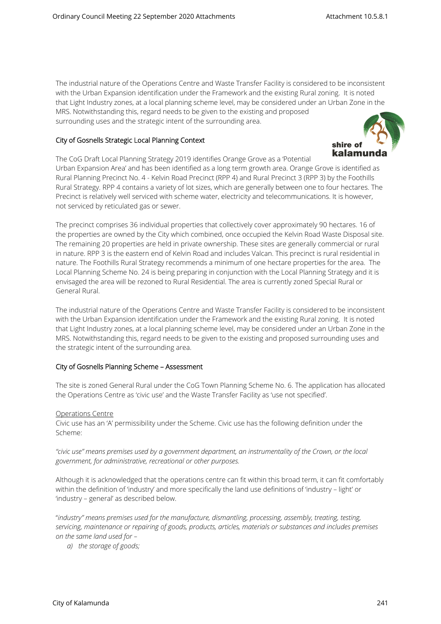The industrial nature of the Operations Centre and Waste Transfer Facility is considered to be inconsistent with the Urban Expansion identification under the Framework and the existing Rural zoning. It is noted that Light Industry zones, at a local planning scheme level, may be considered under an Urban Zone in the MRS. Notwithstanding this, regard needs to be given to the existing and proposed surrounding uses and the strategic intent of the surrounding area.

#### **City of Gosnells Strategic Local Planning Context**



The CoG Draft Local Planning Strategy 2019 identifies Orange Grove as a 'Potential Urban Expansion Area' and has been identified as a long term growth area. Orange Grove is identified as Rural Planning Precinct No. 4 - Kelvin Road Precinct (RPP 4) and Rural Precinct 3 (RPP 3) by the Foothills Rural Strategy. RPP 4 contains a variety of lot sizes, which are generally between one to four hectares. The Precinct is relatively well serviced with scheme water, electricity and telecommunications. It is however, not serviced by reticulated gas or sewer.

The precinct comprises 36 individual properties that collectively cover approximately 90 hectares. 16 of the properties are owned by the City which combined, once occupied the Kelvin Road Waste Disposal site. The remaining 20 properties are held in private ownership. These sites are generally commercial or rural in nature. RPP 3 is the eastern end of Kelvin Road and includes Valcan. This precinct is rural residential in nature. The Foothills Rural Strategy recommends a minimum of one hectare properties for the area. The Local Planning Scheme No. 24 is being preparing in conjunction with the Local Planning Strategy and it is envisaged the area will be rezoned to Rural Residential. The area is currently zoned Special Rural or General Rural.

The industrial nature of the Operations Centre and Waste Transfer Facility is considered to be inconsistent with the Urban Expansion identification under the Framework and the existing Rural zoning. It is noted that Light Industry zones, at a local planning scheme level, may be considered under an Urban Zone in the MRS. Notwithstanding this, regard needs to be given to the existing and proposed surrounding uses and the strategic intent of the surrounding area.

#### **City of Gosnells Planning Scheme – Assessment**

The site is zoned General Rural under the CoG Town Planning Scheme No. 6. The application has allocated the Operations Centre as 'civic use' and the Waste Transfer Facility as 'use not specified'.

#### Operations Centre

Civic use has an 'A' permissibility under the Scheme. Civic use has the following definition under the Scheme:

*"civic use" means premises used by a government department, an instrumentality of the Crown, or the local government, for administrative, recreational or other purposes.*

Although it is acknowledged that the operations centre can fit within this broad term, it can fit comfortably within the definition of 'industry' and more specifically the land use definitions of 'industry – light' or 'industry – general' as described below.

"*industry" means premises used for the manufacture, dismantling, processing, assembly, treating, testing, servicing, maintenance or repairing of goods, products, articles, materials or substances and includes premises on the same land used for –* 

*a) the storage of goods;*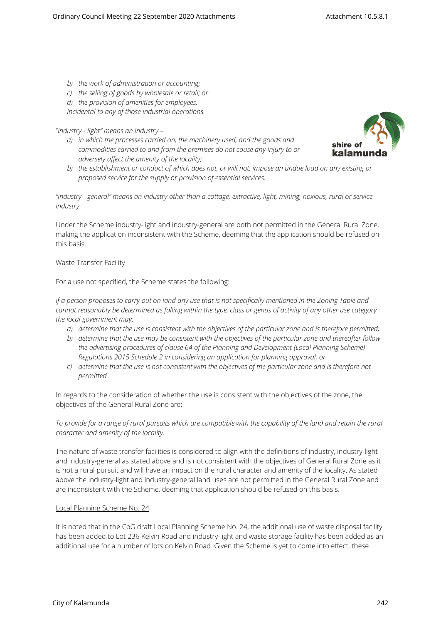- *b) the work of administration or accounting;*
- *c) the selling of goods by wholesale or retail; or*

*d) the provision of amenities for employees,* 

*incidental to any of those industrial operations.*

# "*industry - light" means an industry –*

*a) in which the processes carried on, the machinery used, and the goods and commodities carried to and from the premises do not cause any injury to or adversely affect the amenity of the locality;* 



*b) the establishment or conduct of which does not, or will not, impose an undue load on any existing or proposed service for the supply or provision of essential services.*

*"industry - general" means an industry other than a cottage, extractive, light, mining, noxious, rural or service industry.*

Under the Scheme industry-light and industry-general are both not permitted in the General Rural Zone, making the application inconsistent with the Scheme, deeming that the application should be refused on this basis.

# Waste Transfer Facility

For a use not specified, the Scheme states the following:

*If a person proposes to carry out on land any use that is not specifically mentioned in the Zoning Table and cannot reasonably be determined as falling within the type, class or genus of activity of any other use category the local government may:* 

- *a) determine that the use is consistent with the objectives of the particular zone and is therefore permitted;*
- *b) determine that the use may be consistent with the objectives of the particular zone and thereafter follow the advertising procedures of clause 64 of the Planning and Development (Local Planning Scheme) Regulations 2015 Schedule 2 in considering an application for planning approval; or*
- *c) determine that the use is not consistent with the objectives of the particular zone and is therefore not permitted.*

In regards to the consideration of whether the use is consistent with the objectives of the zone, the objectives of the General Rural Zone are:

*To provide for a range of rural pursuits which are compatible with the capability of the land and retain the rural character and amenity of the locality.*

The nature of waste transfer facilities is considered to align with the definitions of industry, industry-light and industry-general as stated above and is not consistent with the objectives of General Rural Zone as it is not a rural pursuit and will have an impact on the rural character and amenity of the locality. As stated above the industry-light and industry-general land uses are not permitted in the General Rural Zone and are inconsistent with the Scheme, deeming that application should be refused on this basis.

#### Local Planning Scheme No. 24

It is noted that in the CoG draft Local Planning Scheme No. 24, the additional use of waste disposal facility has been added to Lot 236 Kelvin Road and industry-light and waste storage facility has been added as an additional use for a number of lots on Kelvin Road. Given the Scheme is yet to come into effect, these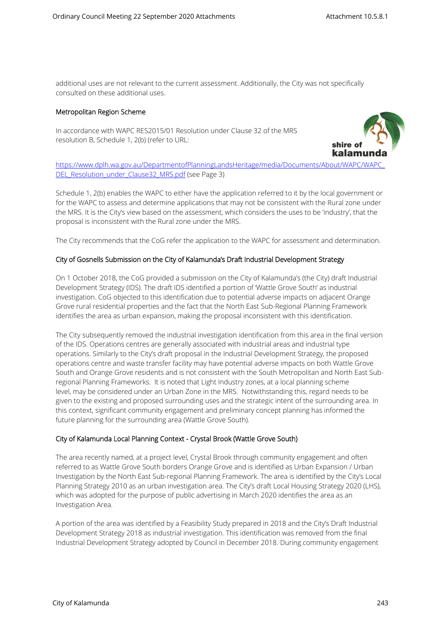additional uses are not relevant to the current assessment. Additionally, the City was not specifically consulted on these additional uses.

#### **Metropolitan Region Scheme**

In accordance with WAPC RES2015/01 Resolution under Clause 32 of the MRS resolution B, Schedule 1, 2(b) (refer to URL:



[https://www.dplh.wa.gov.au/DepartmentofPlanningLandsHeritage/media/Documents/About/WAPC/WAPC\\_](https://www.dplh.wa.gov.au/DepartmentofPlanningLandsHeritage/media/Documents/About/WAPC/WAPC_DEL_Resolution_under_Clause32_MRS.pdf) [DEL\\_Resolution\\_under\\_Clause32\\_MRS.pdf](https://www.dplh.wa.gov.au/DepartmentofPlanningLandsHeritage/media/Documents/About/WAPC/WAPC_DEL_Resolution_under_Clause32_MRS.pdf) (see Page 3)

Schedule 1, 2(b) enables the WAPC to either have the application referred to it by the local government or for the WAPC to assess and determine applications that may not be consistent with the Rural zone under the MRS. It is the City's view based on the assessment, which considers the uses to be 'industry', that the proposal is inconsistent with the Rural zone under the MRS.

The City recommends that the CoG refer the application to the WAPC for assessment and determination.

## **City of Gosnells Submission on the City of Kalamunda's Draft Industrial Development Strategy**

On 1 October 2018, the CoG provided a submission on the City of Kalamunda's (the City) draft Industrial Development Strategy (IDS). The draft IDS identified a portion of 'Wattle Grove South' as industrial investigation. CoG objected to this identification due to potential adverse impacts on adjacent Orange Grove rural residential properties and the fact that the North East Sub-Regional Planning Framework identifies the area as urban expansion, making the proposal inconsistent with this identification.

The City subsequently removed the industrial investigation identification from this area in the final version of the IDS. Operations centres are generally associated with industrial areas and industrial type operations. Similarly to the City's draft proposal in the Industrial Development Strategy, the proposed operations centre and waste transfer facility may have potential adverse impacts on both Wattle Grove South and Orange Grove residents and is not consistent with the South Metropolitan and North East Subregional Planning Frameworks. It is noted that Light Industry zones, at a local planning scheme level, may be considered under an Urban Zone in the MRS. Notwithstanding this, regard needs to be given to the existing and proposed surrounding uses and the strategic intent of the surrounding area. In this context, significant community engagement and preliminary concept planning has informed the future planning for the surrounding area (Wattle Grove South).

#### **City of Kalamunda Local Planning Context - Crystal Brook (Wattle Grove South)**

The area recently named, at a project level, Crystal Brook through community engagement and often referred to as Wattle Grove South borders Orange Grove and is identified as Urban Expansion / Urban Investigation by the North East Sub-regional Planning Framework. The area is identified by the City's Local Planning Strategy 2010 as an urban investigation area. The City's draft Local Housing Strategy 2020 (LHS), which was adopted for the purpose of public advertising in March 2020 identifies the area as an Investigation Area.

A portion of the area was identified by a Feasibility Study prepared in 2018 and the City's Draft Industrial Development Strategy 2018 as industrial investigation. This identification was removed from the final Industrial Development Strategy adopted by Council in December 2018. During community engagement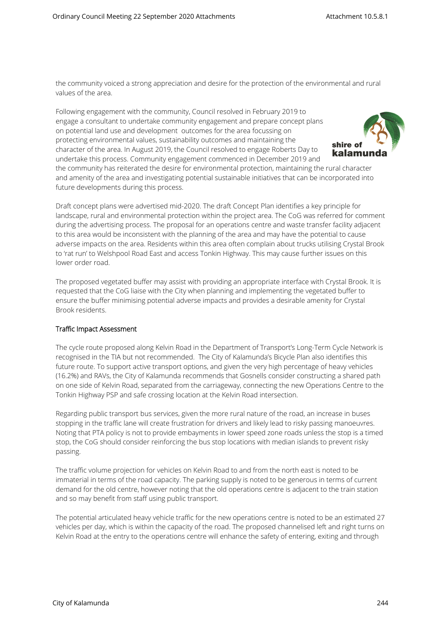the community voiced a strong appreciation and desire for the protection of the environmental and rural values of the area.

Following engagement with the community, Council resolved in February 2019 to engage a consultant to undertake community engagement and prepare concept plans on potential land use and development outcomes for the area focussing on protecting environmental values, sustainability outcomes and maintaining the character of the area. In August 2019, the Council resolved to engage Roberts Day to undertake this process. Community engagement commenced in December 2019 and



the community has reiterated the desire for environmental protection, maintaining the rural character and amenity of the area and investigating potential sustainable initiatives that can be incorporated into future developments during this process.

Draft concept plans were advertised mid-2020. The draft Concept Plan identifies a key principle for landscape, rural and environmental protection within the project area. The CoG was referred for comment during the advertising process. The proposal for an operations centre and waste transfer facility adjacent to this area would be inconsistent with the planning of the area and may have the potential to cause adverse impacts on the area. Residents within this area often complain about trucks utilising Crystal Brook to 'rat run' to Welshpool Road East and access Tonkin Highway. This may cause further issues on this lower order road.

The proposed vegetated buffer may assist with providing an appropriate interface with Crystal Brook. It is requested that the CoG liaise with the City when planning and implementing the vegetated buffer to ensure the buffer minimising potential adverse impacts and provides a desirable amenity for Crystal Brook residents.

#### **Traffic Impact Assessment**

The cycle route proposed along Kelvin Road in the Department of Transport's Long-Term Cycle Network is recognised in the TIA but not recommended. The City of Kalamunda's Bicycle Plan also identifies this future route. To support active transport options, and given the very high percentage of heavy vehicles (16.2%) and RAVs, the City of Kalamunda recommends that Gosnells consider constructing a shared path on one side of Kelvin Road, separated from the carriageway, connecting the new Operations Centre to the Tonkin Highway PSP and safe crossing location at the Kelvin Road intersection.

Regarding public transport bus services, given the more rural nature of the road, an increase in buses stopping in the traffic lane will create frustration for drivers and likely lead to risky passing manoeuvres. Noting that PTA policy is not to provide embayments in lower speed zone roads unless the stop is a timed stop, the CoG should consider reinforcing the bus stop locations with median islands to prevent risky passing.

The traffic volume projection for vehicles on Kelvin Road to and from the north east is noted to be immaterial in terms of the road capacity. The parking supply is noted to be generous in terms of current demand for the old centre, however noting that the old operations centre is adjacent to the train station and so may benefit from staff using public transport.

The potential articulated heavy vehicle traffic for the new operations centre is noted to be an estimated 27 vehicles per day, which is within the capacity of the road. The proposed channelised left and right turns on Kelvin Road at the entry to the operations centre will enhance the safety of entering, exiting and through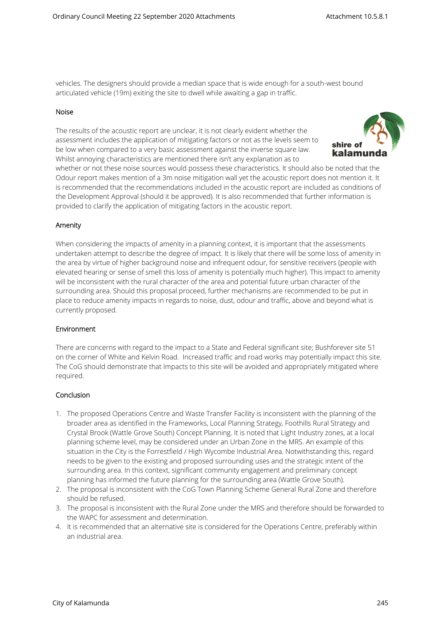vehicles. The designers should provide a median space that is wide enough for a south-west bound articulated vehicle (19m) exiting the site to dwell while awaiting a gap in traffic.

#### **Noise**

The results of the acoustic report are unclear, it is not clearly evident whether the assessment includes the application of mitigating factors or not as the levels seem to be low when compared to a very basic assessment against the inverse square law. Whilst annoying characteristics are mentioned there isn't any explanation as to



whether or not these noise sources would possess these characteristics. It should also be noted that the Odour report makes mention of a 3m noise mitigation wall yet the acoustic report does not mention it. It is recommended that the recommendations included in the acoustic report are included as conditions of the Development Approval (should it be approved). It is also recommended that further information is provided to clarify the application of mitigating factors in the acoustic report.

#### **Amenity**

When considering the impacts of amenity in a planning context, it is important that the assessments undertaken attempt to describe the degree of impact. It is likely that there will be some loss of amenity in the area by virtue of higher background noise and infrequent odour, for sensitive receivers (people with elevated hearing or sense of smell this loss of amenity is potentially much higher). This impact to amenity will be inconsistent with the rural character of the area and potential future urban character of the surrounding area. Should this proposal proceed, further mechanisms are recommended to be put in place to reduce amenity impacts in regards to noise, dust, odour and traffic, above and beyond what is currently proposed.

#### **Environment**

There are concerns with regard to the impact to a State and Federal significant site; Bushforever site 51 on the corner of White and Kelvin Road. Increased traffic and road works may potentially impact this site. The CoG should demonstrate that Impacts to this site will be avoided and appropriately mitigated where required.

#### **Conclusion**

- 1. The proposed Operations Centre and Waste Transfer Facility is inconsistent with the planning of the broader area as identified in the Frameworks, Local Planning Strategy, Foothills Rural Strategy and Crystal Brook (Wattle Grove South) Concept Planning. It is noted that Light Industry zones, at a local planning scheme level, may be considered under an Urban Zone in the MRS. An example of this situation in the City is the Forrestfield / High Wycombe Industrial Area. Notwithstanding this, regard needs to be given to the existing and proposed surrounding uses and the strategic intent of the surrounding area. In this context, significant community engagement and preliminary concept planning has informed the future planning for the surrounding area (Wattle Grove South).
- 2. The proposal is inconsistent with the CoG Town Planning Scheme General Rural Zone and therefore should be refused.
- 3. The proposal is inconsistent with the Rural Zone under the MRS and therefore should be forwarded to the WAPC for assessment and determination.
- 4. It is recommended that an alternative site is considered for the Operations Centre, preferably within an industrial area.